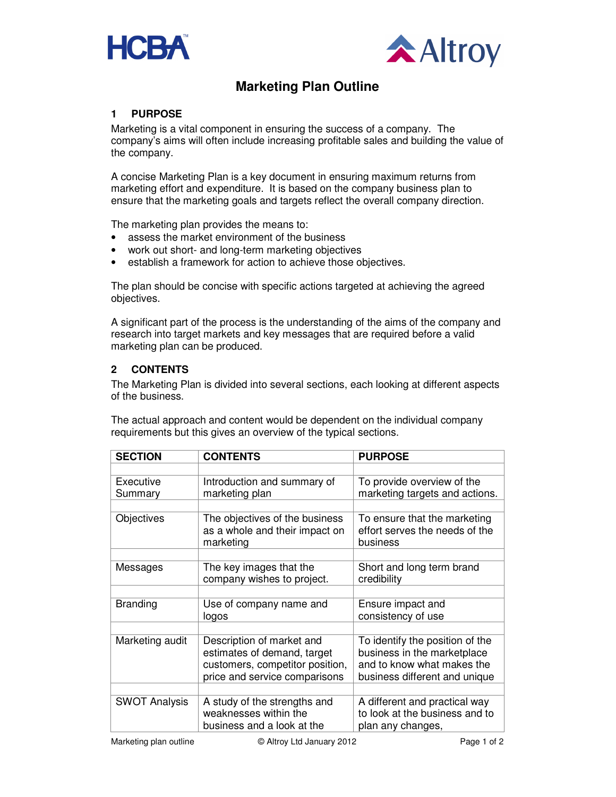



# **Marketing Plan Outline**

### **1 PURPOSE**

Marketing is a vital component in ensuring the success of a company. The company's aims will often include increasing profitable sales and building the value of the company.

A concise Marketing Plan is a key document in ensuring maximum returns from marketing effort and expenditure. It is based on the company business plan to ensure that the marketing goals and targets reflect the overall company direction.

The marketing plan provides the means to:

- assess the market environment of the business
- work out short- and long-term marketing objectives
- establish a framework for action to achieve those objectives.

The plan should be concise with specific actions targeted at achieving the agreed objectives.

A significant part of the process is the understanding of the aims of the company and research into target markets and key messages that are required before a valid marketing plan can be produced.

#### **2 CONTENTS**

The Marketing Plan is divided into several sections, each looking at different aspects of the business.

The actual approach and content would be dependent on the individual company requirements but this gives an overview of the typical sections.

| <b>SECTION</b>       | <b>CONTENTS</b>                                                                                                              | <b>PURPOSE</b>                                                                                                                |
|----------------------|------------------------------------------------------------------------------------------------------------------------------|-------------------------------------------------------------------------------------------------------------------------------|
|                      |                                                                                                                              |                                                                                                                               |
| Executive<br>Summary | Introduction and summary of<br>marketing plan                                                                                | To provide overview of the<br>marketing targets and actions.                                                                  |
|                      |                                                                                                                              |                                                                                                                               |
| Objectives           | The objectives of the business<br>as a whole and their impact on<br>marketing                                                | To ensure that the marketing<br>effort serves the needs of the<br>business                                                    |
|                      |                                                                                                                              |                                                                                                                               |
| Messages             | The key images that the<br>company wishes to project.                                                                        | Short and long term brand<br>credibility                                                                                      |
|                      |                                                                                                                              |                                                                                                                               |
| <b>Branding</b>      | Use of company name and<br>logos                                                                                             | Ensure impact and<br>consistency of use                                                                                       |
|                      |                                                                                                                              |                                                                                                                               |
| Marketing audit      | Description of market and<br>estimates of demand, target<br>customers, competitor position,<br>price and service comparisons | To identify the position of the<br>business in the marketplace<br>and to know what makes the<br>business different and unique |
|                      |                                                                                                                              |                                                                                                                               |
| <b>SWOT Analysis</b> | A study of the strengths and<br>weaknesses within the<br>business and a look at the                                          | A different and practical way<br>to look at the business and to<br>plan any changes,                                          |